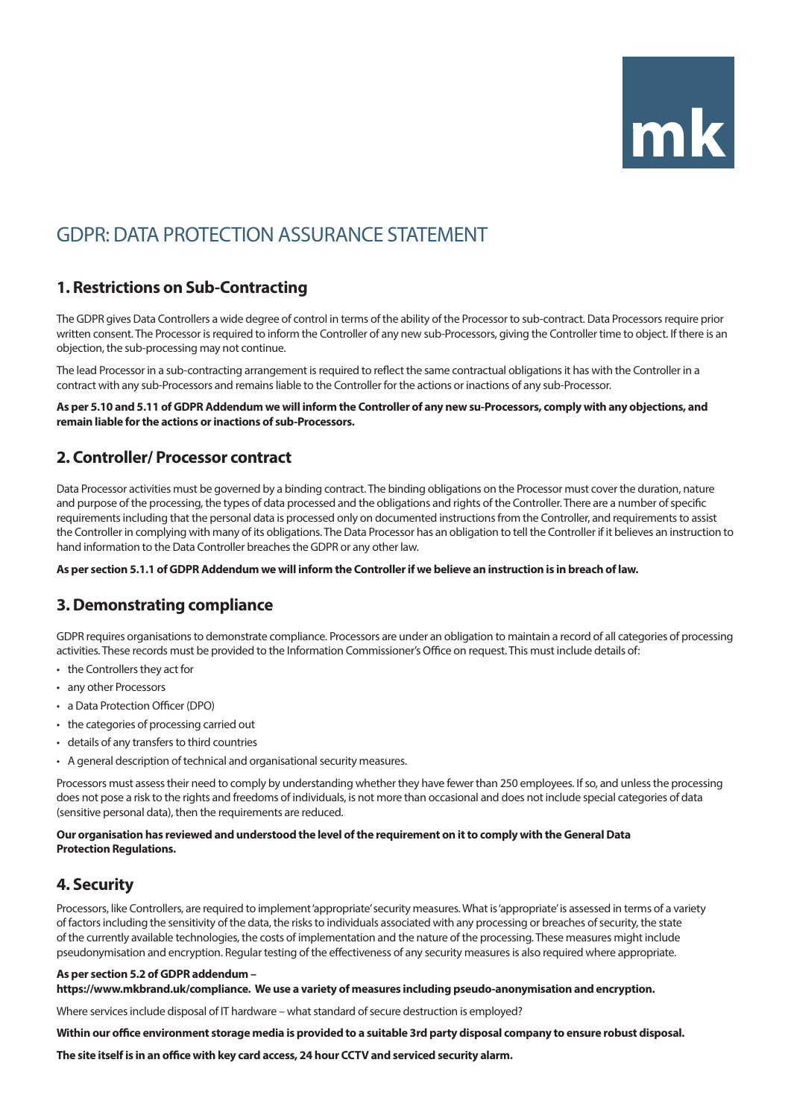

# GDPR: DATA PROTECTION ASSURANCE STATEMENT

# **1. Restrictions on Sub-Contracting**

The GDPR gives Data Controllers a wide degree of control in terms of the ability of the Processor to sub-contract. Data Processors require prior written consent. The Processor is required to inform the Controller of any new sub-Processors, giving the Controller time to object. If there is an objection, the sub-processing may not continue.

The lead Processor in a sub-contracting arrangement is required to reflect the same contractual obligations it has with the Controller in a contract with any sub-Processors and remains liable to the Controller for the actions or inactions of any sub-Processor.

#### **As per 5.10 and 5.11 of GDPR Addendum we will inform the Controller of any new su-Processors, comply with any objections, and remain liable for the actions or inactions of sub-Processors.**

# **2. Controller/ Processor contract**

Data Processor activities must be governed by a binding contract. The binding obligations on the Processor must cover the duration, nature and purpose of the processing, the types of data processed and the obligations and rights of the Controller. There are a number of specific requirements including that the personal data is processed only on documented instructions from the Controller, and requirements to assist the Controller in complying with many of its obligations. The Data Processor has an obligation to tell the Controller if it believes an instruction to hand information to the Data Controller breaches the GDPR or any other law.

**As per section 5.1.1 of GDPR Addendum we will inform the Controller if we believe an instruction is in breach of law.**

## **3. Demonstrating compliance**

GDPR requires organisations to demonstrate compliance. Processors are under an obligation to maintain a record of all categories of processing activities. These records must be provided to the Information Commissioner's Office on request. This must include details of:

- the Controllers they act for
- any other Processors
- a Data Protection Officer (DPO)
- the categories of processing carried out
- details of any transfers to third countries
- A general description of technical and organisational security measures.

Processors must assess their need to comply by understanding whether they have fewer than 250 employees. If so, and unless the processing does not pose a risk to the rights and freedoms of individuals, is not more than occasional and does not include special categories of data (sensitive personal data), then the requirements are reduced.

#### **Our organisation has reviewed and understood the level of the requirement on it to comply with the General Data Protection Regulations.**

# **4. Security**

Processors, like Controllers, are required to implement 'appropriate' security measures. What is 'appropriate' is assessed in terms of a variety of factors including the sensitivity of the data, the risks to individuals associated with any processing or breaches of security, the state of the currently available technologies, the costs of implementation and the nature of the processing. These measures might include pseudonymisation and encryption. Regular testing of the effectiveness of any security measures is also required where appropriate.

#### **As per section 5.2 of GDPR addendum –**

**https://www.mkbrand.uk/compliance. We use a variety of measures including pseudo-anonymisation and encryption.**

Where services include disposal of IT hardware – what standard of secure destruction is employed?

**Within our office environment storage media is provided to a suitable 3rd party disposal company to ensure robust disposal.** 

**The site itself is in an office with key card access, 24 hour CCTV and serviced security alarm.**